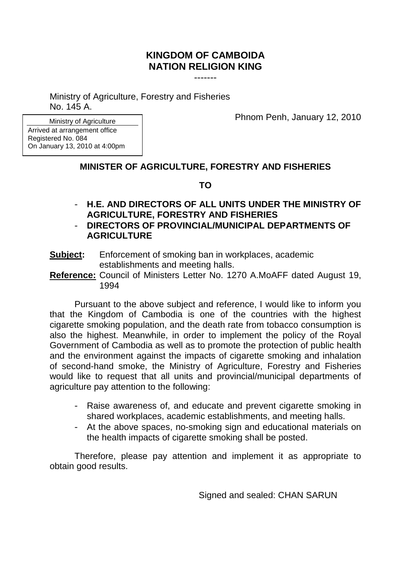## **KINGDOM OF CAMBOIDA NATION RELIGION KING**

-------

Ministry of Agriculture, Forestry and Fisheries No. 145 A.

Phnom Penh, January 12, 2010

Ministry of Agriculture Arrived at arrangement office Registered No. 084 On January 13, 2010 at 4:00pm

## **MINISTER OF AGRICULTURE, FORESTRY AND FISHERIES**

## **TO**

- **H.E. AND DIRECTORS OF ALL UNITS UNDER THE MINISTRY OF AGRICULTURE, FORESTRY AND FISHERIES**
- **DIRECTORS OF PROVINCIAL/MUNICIPAL DEPARTMENTS OF AGRICULTURE**
- **Subject:** Enforcement of smoking ban in workplaces, academic establishments and meeting halls.
- **Reference:** Council of Ministers Letter No. 1270 A.MoAFF dated August 19, 1994

Pursuant to the above subject and reference, I would like to inform you that the Kingdom of Cambodia is one of the countries with the highest cigarette smoking population, and the death rate from tobacco consumption is also the highest. Meanwhile, in order to implement the policy of the Royal Government of Cambodia as well as to promote the protection of public health and the environment against the impacts of cigarette smoking and inhalation of second-hand smoke, the Ministry of Agriculture, Forestry and Fisheries would like to request that all units and provincial/municipal departments of agriculture pay attention to the following:

- Raise awareness of, and educate and prevent cigarette smoking in shared workplaces, academic establishments, and meeting halls.
- At the above spaces, no-smoking sign and educational materials on the health impacts of cigarette smoking shall be posted.

Therefore, please pay attention and implement it as appropriate to obtain good results.

Signed and sealed: CHAN SARUN